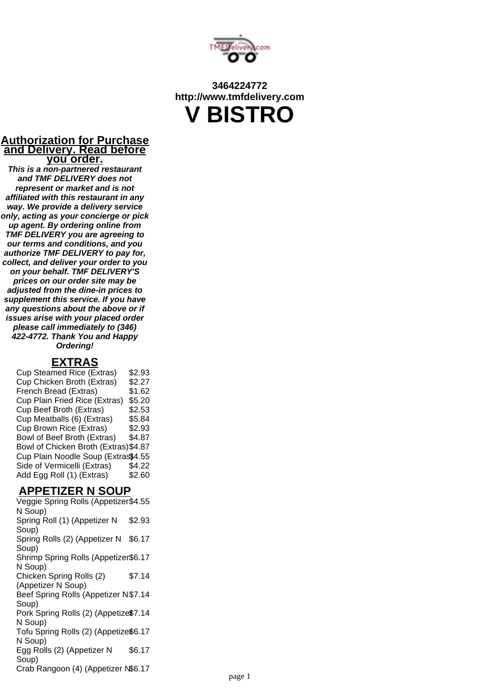

# **3464224772 http://www.tmfdelivery.com V BISTRO**

### **Authorization for Purchase and Delivery. Read before you order.**

**This is a non-partnered restaurant and TMF DELIVERY does not represent or market and is not affiliated with this restaurant in any way. We provide a delivery service only, acting as your concierge or pick up agent. By ordering online from TMF DELIVERY you are agreeing to our terms and conditions, and you authorize TMF DELIVERY to pay for, collect, and deliver your order to you on your behalf. TMF DELIVERY'S prices on our order site may be adjusted from the dine-in prices to supplement this service. If you have any questions about the above or if issues arise with your placed order please call immediately to (346) 422-4772. Thank You and Happy Ordering!**

### **EXTRAS**

| <b>Cup Steamed Rice (Extras)</b>      | \$2.93 |
|---------------------------------------|--------|
| Cup Chicken Broth (Extras)            | \$2.27 |
| French Bread (Extras)                 | \$1.62 |
| Cup Plain Fried Rice (Extras)         | \$5.20 |
| Cup Beef Broth (Extras)               | \$2.53 |
| Cup Meatballs (6) (Extras)            | \$5.84 |
| Cup Brown Rice (Extras)               | \$2.93 |
| Bowl of Beef Broth (Extras)           | \$4.87 |
| Bowl of Chicken Broth (Extras) \$4.87 |        |
| Cup Plain Noodle Soup (Extras\$4.55   |        |
| Side of Vermicelli (Extras)           | \$4.22 |
| Add Egg Roll (1) (Extras)             | \$2.60 |

### **APPETIZER N SOUP**

Veggie Spring Rolls (Appetizer \$4.55 N Soup) Spring Roll (1) (Appetizer N Soup) \$2.93 Spring Rolls (2) (Appetizer N \$6.17 Soup) Shrimp Spring Rolls (Appetizer \$6.17 N Soup) Chicken Spring Rolls (2) (Appetizer N Soup) \$7.14 Beef Spring Rolls (Appetizer N \$7.14 Soup) Pork Spring Rolls (2) (Appetize\$7.14 N Soup) Tofu Spring Rolls (2) (Appetize\$6.17 N Soup) Egg Rolls (2) (Appetizer N Soup) \$6.17 Crab Rangoon (4) (Appetizer N\$6.17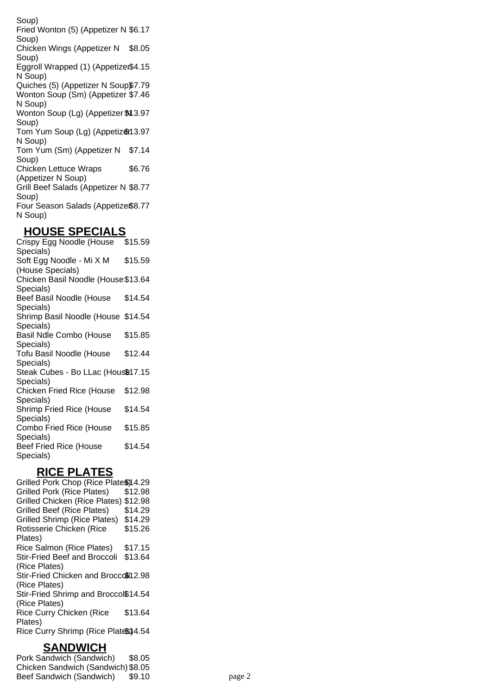Soup)

Fried Wonton (5) (Appetizer N \$6.17 Soup) Chicken Wings (Appetizer N \$8.05 Soup) Eggroll Wrapped (1) (Appetizer \$4.15 N Soup) Quiches (5) (Appetizer N Soup)\$7.79 Wonton Soup (Sm) (Appetizer \$7.46 N Soup) Wonton Soup (Lg) (Appetizer \$13.97 Soup) Tom Yum Soup (Lg) (Appetizen 3.97 N Soup) Tom Yum (Sm) (Appetizer N \$7.14 Soup) Chicken Lettuce Wraps (Appetizer N Soup) \$6.76 Grill Beef Salads (Appetizer N \$8.77 Soup) Four Season Salads (Appetize \$8.77 N Soup)

#### **HOUSE SPECIALS**

Crispy Egg Noodle (House Specials) \$15.59 Soft Egg Noodle - Mi X M (House Specials) \$15.59 Chicken Basil Noodle (House \$13.64 Specials) Beef Basil Noodle (House Specials) \$14.54 Shrimp Basil Noodle (House \$14.54 Specials) Basil Ndle Combo (House Specials) \$15.85 Tofu Basil Noodle (House Specials) \$12.44 Steak Cubes - Bo LLac (Hous\$17.15 Specials) Chicken Fried Rice (House Specials) \$12.98 Shrimp Fried Rice (House Specials) \$14.54 Combo Fried Rice (House Specials) \$15.85 Beef Fried Rice (House Specials) \$14.54

## **RICE PLATES**

Grilled Pork Chop (Rice Plate\$)14.29 Grilled Pork (Rice Plates) \$12.98 Grilled Chicken (Rice Plates) \$12.98 Grilled Beef (Rice Plates) \$14.29 Grilled Shrimp (Rice Plates) \$14.29 Rotisserie Chicken (Rice Plates) \$15.26 Rice Salmon (Rice Plates) \$17.15 Stir-Fried Beef and Broccoli \$13.64 (Rice Plates) Stir-Fried Chicken and Broccoli12.98 (Rice Plates) Stir-Fried Shrimp and Broccol\$14.54 (Rice Plates) Rice Curry Chicken (Rice Plates) \$13.64 Rice Curry Shrimp (Rice Plates) 4.54

# **SANDWICH**

Pork Sandwich (Sandwich) \$8.05 Chicken Sandwich (Sandwich) \$8.05 Beef Sandwich (Sandwich) \$9.10 page 2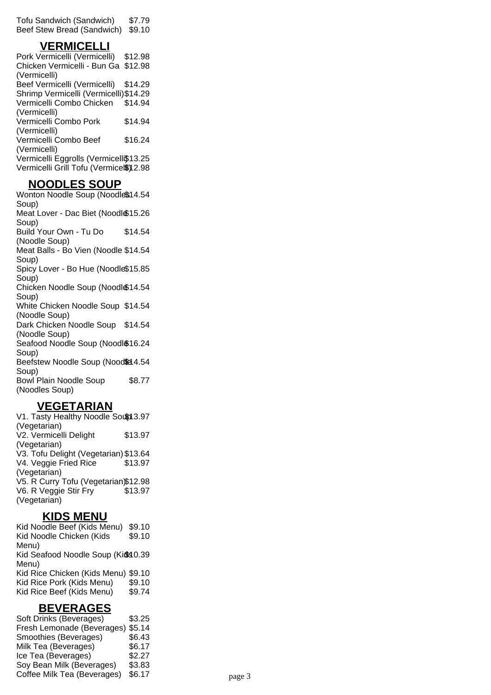Tofu Sandwich (Sandwich) \$7.79 Beef Stew Bread (Sandwich) \$9.10

### **VERMICELLI**

Pork Vermicelli (Vermicelli) \$12.98 Chicken Vermicelli - Bun Ga \$12.98 (Vermicelli) Beef Vermicelli (Vermicelli) \$14.29 Shrimp Vermicelli (Vermicelli)\$14.29 Vermicelli Combo Chicken (Vermicelli) \$14.94 Vermicelli Combo Pork (Vermicelli) \$14.94 Vermicelli Combo Beef (Vermicelli) \$16.24 Vermicelli Eggrolls (Vermicelli\$13.25 Vermicelli Grill Tofu (Vermicel\$)12.98

### **NOODLES SOUP**

Wonton Noodle Soup (Noodle\$14.54 Soup) Meat Lover - Dac Biet (Noodl \$15.26 Soup) Build Your Own - Tu Do (Noodle Soup) \$14.54 Meat Balls - Bo Vien (Noodle \$14.54 Soup) Spicy Lover - Bo Hue (Noodle \$15.85 Soup) Chicken Noodle Soup (Noodl \$14.54 Soup) White Chicken Noodle Soup \$14.54 (Noodle Soup) Dark Chicken Noodle Soup \$14.54 (Noodle Soup) Seafood Noodle Soup (Noodl \$16.24 Soup) Beefstew Noodle Soup (Noodle 4.54 Soup) Bowl Plain Noodle Soup (Noodles Soup) \$8.77

### **VEGETARIAN**

V1. Tasty Healthy Noodle Sound 3.97 (Vegetarian) V2. Vermicelli Delight (Vegetarian) \$13.97 V3. Tofu Delight (Vegetarian) \$13.64 V4. Veggie Fried Rice (Vegetarian) \$13.97 V5. R Curry Tofu (Vegetarian)\$12.98 V6. R Veggie Stir Fry (Vegetarian) \$13.97

### **KIDS MENU**

Kid Noodle Beef (Kids Menu) \$9.10 Kid Noodle Chicken (Kids Menu) \$9.10 Kid Seafood Noodle Soup (Kids 0.39 Menu) Kid Rice Chicken (Kids Menu) \$9.10 Kid Rice Pork (Kids Menu) \$9.10 Kid Rice Beef (Kids Menu) \$9.74 **BEVERAGES**

Soft Drinks (Beverages) \$3.25 Fresh Lemonade (Beverages) \$5.14 Smoothies (Beverages) \$6.43 Milk Tea (Beverages) \$6.17 Ice Tea (Beverages) \$2.27 Soy Bean Milk (Beverages) \$3.83 Coffee Milk Tea (Beverages) \$6.17 page 3